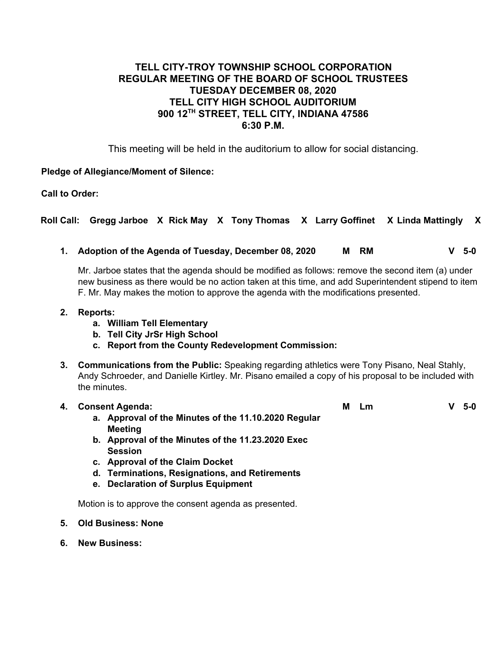# **TELL CITY-TROY TOWNSHIP SCHOOL CORPORATION REGULAR MEETING OF THE BOARD OF SCHOOL TRUSTEES TUESDAY DECEMBER 08, 2020 TELL CITY HIGH SCHOOL AUDITORIUM 900 12TH STREET, TELL CITY, INDIANA 47586 6:30 P.M.**

This meeting will be held in the auditorium to allow for social distancing.

# **Pledge of Allegiance/Moment of Silence:**

**Call to Order:**

**Roll Call: Gregg Jarboe X Rick May X Tony Thomas X Larry Goffinet X Linda Mattingly X**

**1. Adoption of the Agenda of Tuesday, December 08, 2020 M RM V 5-0**

Mr. Jarboe states that the agenda should be modified as follows: remove the second item (a) under new business as there would be no action taken at this time, and add Superintendent stipend to item F. Mr. May makes the motion to approve the agenda with the modifications presented.

#### **2. Reports:**

- **a. William Tell Elementary**
- **b. Tell City JrSr High School**
- **c. Report from the County Redevelopment Commission:**
- **3. Communications from the Public:** Speaking regarding athletics were Tony Pisano, Neal Stahly, Andy Schroeder, and Danielle Kirtley. Mr. Pisano emailed a copy of his proposal to be included with the minutes.

#### **4. Consent Agenda:**

- **a. Approval of the Minutes of the 11.10.2020 Regular Meeting**
- **b. Approval of the Minutes of the 11.23.2020 Exec Session**
- **c. Approval of the Claim Docket**
- **d. Terminations, Resignations, and Retirements**
- **e. Declaration of Surplus Equipment**

Motion is to approve the consent agenda as presented.

- **5. Old Business: None**
- **6. New Business:**

**M Lm V 5-0**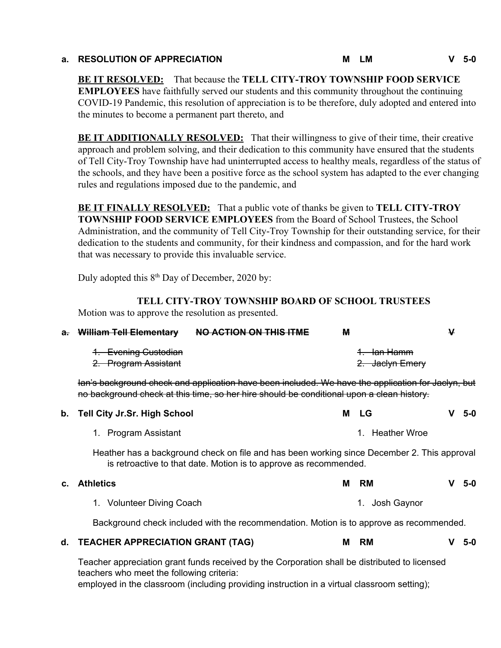# **a. RESOLUTION OF APPRECIATION M LM V 5-0**

**BE IT RESOLVED:** That because the **TELL CITY-TROY TOWNSHIP FOOD SERVICE EMPLOYEES** have faithfully served our students and this community throughout the continuing COVID-19 Pandemic, this resolution of appreciation is to be therefore, duly adopted and entered into the minutes to become a permanent part thereto, and

**BE IT ADDITIONALLY RESOLVED:** That their willingness to give of their time, their creative approach and problem solving, and their dedication to this community have ensured that the students of Tell City-Troy Township have had uninterrupted access to healthy meals, regardless of the status of the schools, and they have been a positive force as the school system has adapted to the ever changing rules and regulations imposed due to the pandemic, and

**BE IT FINALLY RESOLVED:** That a public vote of thanks be given to **TELL CITY-TROY TOWNSHIP FOOD SERVICE EMPLOYEES** from the Board of School Trustees, the School Administration, and the community of Tell City-Troy Township for their outstanding service, for their dedication to the students and community, for their kindness and compassion, and for the hard work that was necessary to provide this invaluable service.

Duly adopted this  $8<sup>th</sup>$  Day of December, 2020 by:

# **TELL CITY-TROY TOWNSHIP BOARD OF SCHOOL TRUSTEES**

Motion was to approve the resolution as presented.

| $\mathbf{a}$ | <b>William Tell Elementary</b>                                                                                                                                                                  | NO ACTION ON THIS ITME | м |                                           | v |       |  |
|--------------|-------------------------------------------------------------------------------------------------------------------------------------------------------------------------------------------------|------------------------|---|-------------------------------------------|---|-------|--|
|              | <b>Evening Custodian</b><br>2. Program Assistant                                                                                                                                                |                        |   | <del>1. Ian Hamm</del><br>2. Jaclyn Emery |   |       |  |
|              | lan's background check and application have been included. We have the application for Jaclyn, but<br>no background check at this time, so her hire should be conditional upon a clean history. |                        |   |                                           |   |       |  |
| b.           | <b>Tell City Jr.Sr. High School</b>                                                                                                                                                             |                        | м | <b>LG</b>                                 |   | $5-0$ |  |
|              | 1. Program Assistant                                                                                                                                                                            |                        |   | <b>Heather Wroe</b><br>1                  |   |       |  |
|              | Heather has a background check on file and has been working since December 2. This approval<br>is retroactive to that date. Motion is to approve as recommended.                                |                        |   |                                           |   |       |  |
| C.           | <b>Athletics</b>                                                                                                                                                                                |                        | м | <b>RM</b>                                 |   | $5-0$ |  |
|              | <b>Volunteer Diving Coach</b><br>1.                                                                                                                                                             |                        |   | 1. Josh Gaynor                            |   |       |  |
|              | Background check included with the recommendation. Motion is to approve as recommended.                                                                                                         |                        |   |                                           |   |       |  |
| d.           | <b>TEACHER APPRECIATION GRANT (TAG)</b>                                                                                                                                                         |                        | м | <b>RM</b>                                 |   | 5-0   |  |
|              | Teacher appropriation graph funds received by the Corporation shall be distributed to licensed                                                                                                  |                        |   |                                           |   |       |  |

Teacher appreciation grant funds received by the Corporation shall be distributed to licensed teachers who meet the following criteria:

employed in the classroom (including providing instruction in a virtual classroom setting);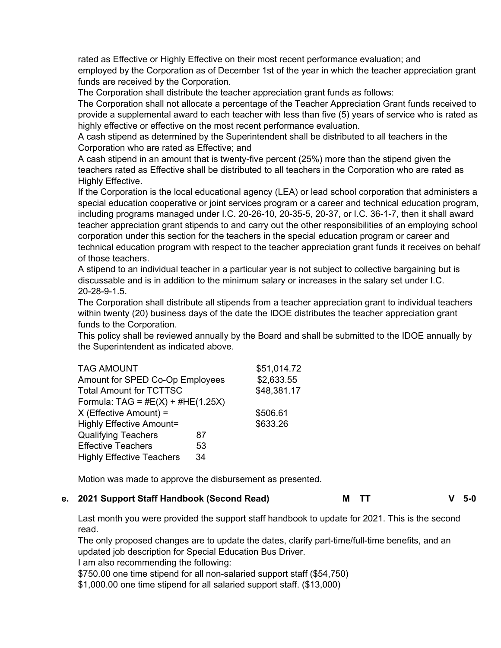rated as Effective or Highly Effective on their most recent performance evaluation; and employed by the Corporation as of December 1st of the year in which the teacher appreciation grant funds are received by the Corporation.

The Corporation shall distribute the teacher appreciation grant funds as follows:

The Corporation shall not allocate a percentage of the Teacher Appreciation Grant funds received to provide a supplemental award to each teacher with less than five (5) years of service who is rated as highly effective or effective on the most recent performance evaluation.

A cash stipend as determined by the Superintendent shall be distributed to all teachers in the Corporation who are rated as Effective; and

A cash stipend in an amount that is twenty-five percent (25%) more than the stipend given the teachers rated as Effective shall be distributed to all teachers in the Corporation who are rated as Highly Effective.

If the Corporation is the local educational agency (LEA) or lead school corporation that administers a special education cooperative or joint services program or a career and technical education program, including programs managed under I.C. 20-26-10, 20-35-5, 20-37, or I.C. 36-1-7, then it shall award teacher appreciation grant stipends to and carry out the other responsibilities of an employing school corporation under this section for the teachers in the special education program or career and technical education program with respect to the teacher appreciation grant funds it receives on behalf of those teachers.

A stipend to an individual teacher in a particular year is not subject to collective bargaining but is discussable and is in addition to the minimum salary or increases in the salary set under I.C. 20-28-9-1.5.

The Corporation shall distribute all stipends from a teacher appreciation grant to individual teachers within twenty (20) business days of the date the IDOE distributes the teacher appreciation grant funds to the Corporation.

This policy shall be reviewed annually by the Board and shall be submitted to the IDOE annually by the Superintendent as indicated above.

| <b>TAG AMOUNT</b>                   |            | \$51,014.72 |  |  |  |  |
|-------------------------------------|------------|-------------|--|--|--|--|
| Amount for SPED Co-Op Employees     | \$2,633.55 |             |  |  |  |  |
| <b>Total Amount for TCTTSC</b>      |            | \$48,381.17 |  |  |  |  |
| Formula: TAG = $#E(X) + #HE(1.25X)$ |            |             |  |  |  |  |
| $X$ (Effective Amount) =            | \$506.61   |             |  |  |  |  |
| <b>Highly Effective Amount=</b>     |            | \$633.26    |  |  |  |  |
| <b>Qualifying Teachers</b>          | 87         |             |  |  |  |  |
| <b>Effective Teachers</b>           | 53         |             |  |  |  |  |
| <b>Highly Effective Teachers</b>    | 34         |             |  |  |  |  |

Motion was made to approve the disbursement as presented.

**e. 2021 Support Staff Handbook (Second Read) M TT V 5-0**

Last month you were provided the support staff handbook to update for 2021. This is the second read.

The only proposed changes are to update the dates, clarify part-time/full-time benefits, and an updated job description for Special Education Bus Driver.

I am also recommending the following:

\$750.00 one time stipend for all non-salaried support staff (\$54,750)

\$1,000.00 one time stipend for all salaried support staff. (\$13,000)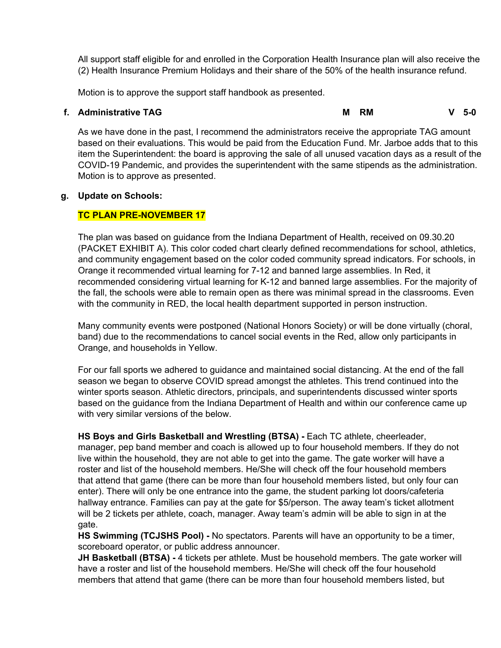All support staff eligible for and enrolled in the Corporation Health Insurance plan will also receive the (2) Health Insurance Premium Holidays and their share of the 50% of the health insurance refund.

Motion is to approve the support staff handbook as presented.

**f. Administrative TAG M RM V 5-0**

As we have done in the past, I recommend the administrators receive the appropriate TAG amount based on their evaluations. This would be paid from the Education Fund. Mr. Jarboe adds that to this item the Superintendent: the board is approving the sale of all unused vacation days as a result of the COVID-19 Pandemic, and provides the superintendent with the same stipends as the administration. Motion is to approve as presented.

# **g. Update on Schools:**

# **TC PLAN PRE-NOVEMBER 17**

The plan was based on guidance from the Indiana Department of Health, received on 09.30.20 (PACKET EXHIBIT A). This color coded chart clearly defined recommendations for school, athletics, and community engagement based on the color coded community spread indicators. For schools, in Orange it recommended virtual learning for 7-12 and banned large assemblies. In Red, it recommended considering virtual learning for K-12 and banned large assemblies. For the majority of the fall, the schools were able to remain open as there was minimal spread in the classrooms. Even with the community in RED, the local health department supported in person instruction.

Many community events were postponed (National Honors Society) or will be done virtually (choral, band) due to the recommendations to cancel social events in the Red, allow only participants in Orange, and households in Yellow.

For our fall sports we adhered to guidance and maintained social distancing. At the end of the fall season we began to observe COVID spread amongst the athletes. This trend continued into the winter sports season. Athletic directors, principals, and superintendents discussed winter sports based on the guidance from the Indiana Department of Health and within our conference came up with very similar versions of the below.

**HS Boys and Girls Basketball and Wrestling (BTSA) -** Each TC athlete, cheerleader, manager, pep band member and coach is allowed up to four household members. If they do not live within the household, they are not able to get into the game. The gate worker will have a roster and list of the household members. He/She will check off the four household members that attend that game (there can be more than four household members listed, but only four can enter). There will only be one entrance into the game, the student parking lot doors/cafeteria hallway entrance. Families can pay at the gate for \$5/person. The away team's ticket allotment will be 2 tickets per athlete, coach, manager. Away team's admin will be able to sign in at the gate.

**HS Swimming (TCJSHS Pool) -** No spectators. Parents will have an opportunity to be a timer, scoreboard operator, or public address announcer.

**JH Basketball (BTSA) -** 4 tickets per athlete. Must be household members. The gate worker will have a roster and list of the household members. He/She will check off the four household members that attend that game (there can be more than four household members listed, but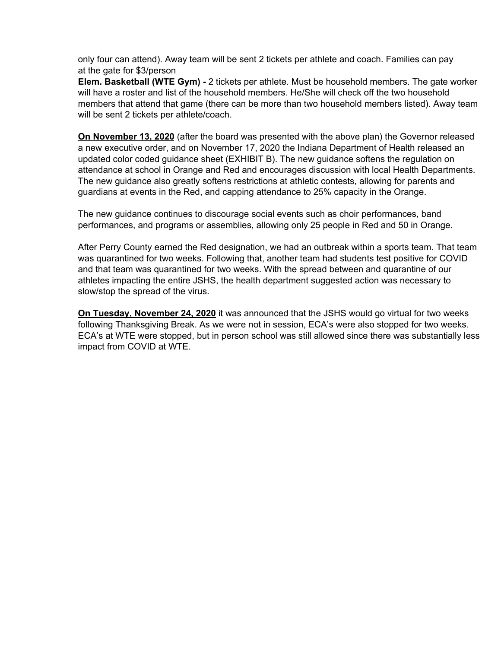only four can attend). Away team will be sent 2 tickets per athlete and coach. Families can pay at the gate for \$3/person

**Elem. Basketball (WTE Gym) -** 2 tickets per athlete. Must be household members. The gate worker will have a roster and list of the household members. He/She will check off the two household members that attend that game (there can be more than two household members listed). Away team will be sent 2 tickets per athlete/coach.

**On November 13, 2020** (after the board was presented with the above plan) the Governor released a new executive order, and on November 17, 2020 the Indiana Department of Health released an updated color coded guidance sheet (EXHIBIT B). The new guidance softens the regulation on attendance at school in Orange and Red and encourages discussion with local Health Departments. The new guidance also greatly softens restrictions at athletic contests, allowing for parents and guardians at events in the Red, and capping attendance to 25% capacity in the Orange.

The new guidance continues to discourage social events such as choir performances, band performances, and programs or assemblies, allowing only 25 people in Red and 50 in Orange.

After Perry County earned the Red designation, we had an outbreak within a sports team. That team was quarantined for two weeks. Following that, another team had students test positive for COVID and that team was quarantined for two weeks. With the spread between and quarantine of our athletes impacting the entire JSHS, the health department suggested action was necessary to slow/stop the spread of the virus.

**On Tuesday, November 24, 2020** it was announced that the JSHS would go virtual for two weeks following Thanksgiving Break. As we were not in session, ECA's were also stopped for two weeks. ECA's at WTE were stopped, but in person school was still allowed since there was substantially less impact from COVID at WTE.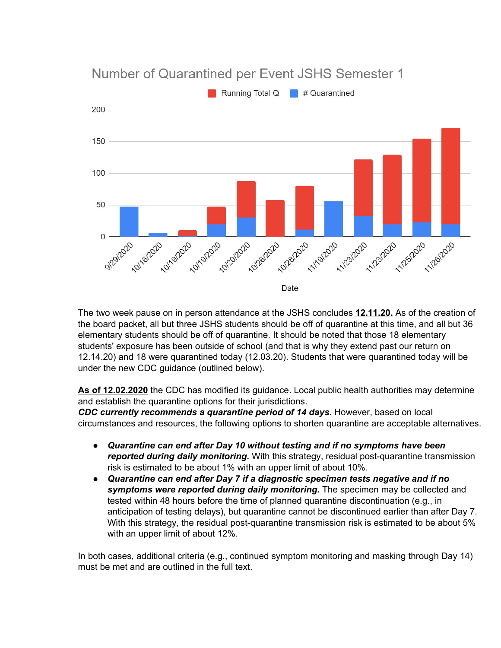

The two week pause on in person attendance at the JSHS concludes **12.11.20.** As of the creation of the board packet, all but three JSHS students should be off of quarantine at this time, and all but 36 elementary students should be off of quarantine. It should be noted that those 18 elementary students' exposure has been outside of school (and that is why they extend past our return on 12.14.20) and 18 were quarantined today (12.03.20). Students that were quarantined today will be under the new CDC guidance (outlined below).

**As of 12.02.2020** the CDC has modified its guidance. Local public health authorities may determine and establish the quarantine options for their jurisdictions.

*CDC currently recommends a quarantine period of 14 days.* However, based on local circumstances and resources, the following options to shorten quarantine are acceptable alternatives.

- *Quarantine can end after Day 10 without testing and if no symptoms have been reported during daily monitoring.* With this strategy, residual post-quarantine transmission risk is estimated to be about 1% with an upper limit of about 10%.
- *Quarantine can end after Day 7 if a diagnostic specimen tests negative and if no symptoms were reported during daily monitoring.* The specimen may be collected and tested within 48 hours before the time of planned quarantine discontinuation (e.g., in anticipation of testing delays), but quarantine cannot be discontinued earlier than after Day 7. With this strategy, the residual post-quarantine transmission risk is estimated to be about 5% with an upper limit of about 12%.

In both cases, additional criteria (e.g., continued symptom monitoring and masking through Day 14) must be met and are outlined in the full text.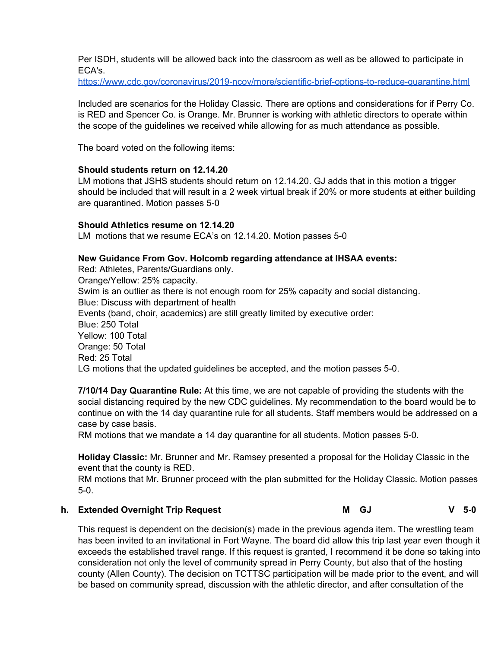Per ISDH, students will be allowed back into the classroom as well as be allowed to participate in ECA's.

<https://www.cdc.gov/coronavirus/2019-ncov/more/scientific-brief-options-to-reduce-quarantine.html>

Included are scenarios for the Holiday Classic. There are options and considerations for if Perry Co. is RED and Spencer Co. is Orange. Mr. Brunner is working with athletic directors to operate within the scope of the guidelines we received while allowing for as much attendance as possible.

The board voted on the following items:

### **Should students return on 12.14.20**

LM motions that JSHS students should return on 12.14.20. GJ adds that in this motion a trigger should be included that will result in a 2 week virtual break if 20% or more students at either building are quarantined. Motion passes 5-0

### **Should Athletics resume on 12.14.20**

LM motions that we resume ECA's on 12.14.20. Motion passes 5-0

### **New Guidance From Gov. Holcomb regarding attendance at IHSAA events:**

Red: Athletes, Parents/Guardians only. Orange/Yellow: 25% capacity. Swim is an outlier as there is not enough room for 25% capacity and social distancing. Blue: Discuss with department of health Events (band, choir, academics) are still greatly limited by executive order: Blue: 250 Total Yellow: 100 Total Orange: 50 Total Red: 25 Total LG motions that the updated guidelines be accepted, and the motion passes 5-0.

**7/10/14 Day Quarantine Rule:** At this time, we are not capable of providing the students with the social distancing required by the new CDC guidelines. My recommendation to the board would be to continue on with the 14 day quarantine rule for all students. Staff members would be addressed on a case by case basis.

RM motions that we mandate a 14 day quarantine for all students. Motion passes 5-0.

**Holiday Classic:** Mr. Brunner and Mr. Ramsey presented a proposal for the Holiday Classic in the event that the county is RED.

RM motions that Mr. Brunner proceed with the plan submitted for the Holiday Classic. Motion passes 5-0.

# **h. Extended Overnight Trip Request M GJ V 5-0**

This request is dependent on the decision(s) made in the previous agenda item. The wrestling team has been invited to an invitational in Fort Wayne. The board did allow this trip last year even though it exceeds the established travel range. If this request is granted, I recommend it be done so taking into consideration not only the level of community spread in Perry County, but also that of the hosting county (Allen County). The decision on TCTTSC participation will be made prior to the event, and will be based on community spread, discussion with the athletic director, and after consultation of the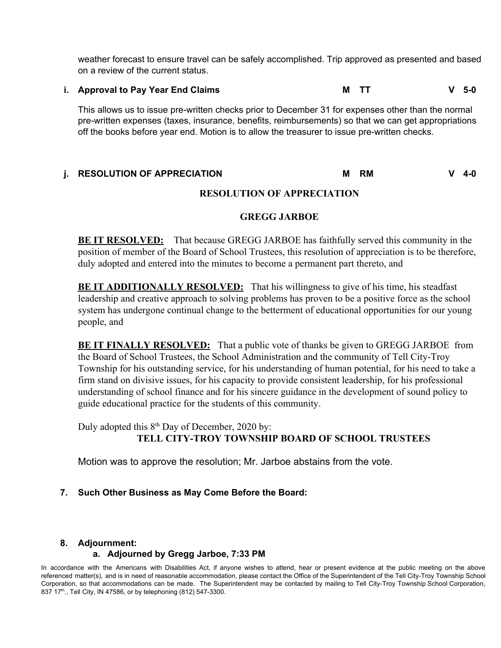weather forecast to ensure travel can be safely accomplished. Trip approved as presented and based on a review of the current status.

**i. Approval to Pay Year End Claims M TT V 5-0**

This allows us to issue pre-written checks prior to December 31 for expenses other than the normal pre-written expenses (taxes, insurance, benefits, reimbursements) so that we can get appropriations off the books before year end. Motion is to allow the treasurer to issue pre-written checks.

#### **j. RESOLUTION OF APPRECIATION M RM V 4-0**

## **RESOLUTION OF APPRECIATION**

# **GREGG JARBOE**

**BE IT RESOLVED:** That because GREGG JARBOE has faithfully served this community in the position of member of the Board of School Trustees, this resolution of appreciation is to be therefore, duly adopted and entered into the minutes to become a permanent part thereto, and

**BE IT ADDITIONALLY RESOLVED:** That his willingness to give of his time, his steadfast leadership and creative approach to solving problems has proven to be a positive force as the school system has undergone continual change to the betterment of educational opportunities for our young people, and

**BE IT FINALLY RESOLVED:** That a public vote of thanks be given to GREGG JARBOE from the Board of School Trustees, the School Administration and the community of Tell City-Troy Township for his outstanding service, for his understanding of human potential, for his need to take a firm stand on divisive issues, for his capacity to provide consistent leadership, for his professional understanding of school finance and for his sincere guidance in the development of sound policy to guide educational practice for the students of this community.

Duly adopted this  $8<sup>th</sup>$  Day of December, 2020 by: **TELL CITY-TROY TOWNSHIP BOARD OF SCHOOL TRUSTEES**

Motion was to approve the resolution; Mr. Jarboe abstains from the vote.

# **7. Such Other Business as May Come Before the Board:**

#### **8. Adjournment:**

# **a. Adjourned by Gregg Jarboe, 7:33 PM**

In accordance with the Americans with Disabilities Act, if anyone wishes to attend, hear or present evidence at the public meeting on the above referenced matter(s), and is in need of reasonable accommodation, please contact the Office of the Superintendent of the Tell City-Troy Township School Corporation, so that accommodations can be made. The Superintendent may be contacted by mailing to Tell City-Troy Township School Corporation, 837 17<sup>th</sup>., Tell City, IN 47586, or by telephoning (812) 547-3300.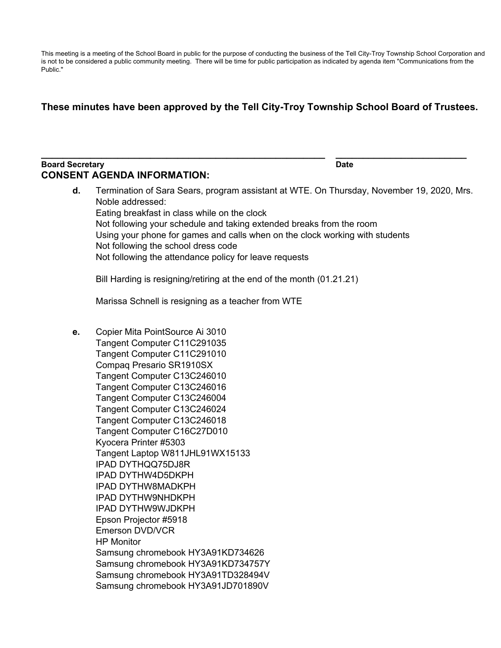This meeting is a meeting of the School Board in public for the purpose of conducting the business of the Tell City-Troy Township School Corporation and is not to be considered a public community meeting. There will be time for public participation as indicated by agenda item "Communications from the Public."

# **These minutes have been approved by the Tell City-Troy Township School Board of Trustees.**

**\_\_\_\_\_\_\_\_\_\_\_\_\_\_\_\_\_\_\_\_\_\_\_\_\_\_\_\_\_\_\_\_\_\_\_\_\_\_\_\_\_\_\_\_\_\_\_\_\_\_\_\_ \_\_\_\_\_\_\_\_\_\_\_\_\_\_\_\_\_\_\_\_\_\_\_\_**

#### **Board Secretary Date CONSENT AGENDA INFORMATION:**

**d.** Termination of Sara Sears, program assistant at WTE. On Thursday, November 19, 2020, Mrs. Noble addressed: Eating breakfast in class while on the clock Not following your schedule and taking extended breaks from the room Using your phone for games and calls when on the clock working with students Not following the school dress code Not following the attendance policy for leave requests Bill Harding is resigning/retiring at the end of the month (01.21.21) Marissa Schnell is resigning as a teacher from WTE **e.** Copier Mita PointSource Ai 3010 Tangent Computer C11C291035 Tangent Computer C11C291010 Compaq Presario SR1910SX Tangent Computer C13C246010 Tangent Computer C13C246016 Tangent Computer C13C246004 Tangent Computer C13C246024 Tangent Computer C13C246018 Tangent Computer C16C27D010 Kyocera Printer #5303 Tangent Laptop W811JHL91WX15133 IPAD DYTHQQ75DJ8R IPAD DYTHW4D5DKPH IPAD DYTHW8MADKPH IPAD DYTHW9NHDKPH IPAD DYTHW9WJDKPH Epson Projector #5918 Emerson DVD/VCR HP Monitor Samsung chromebook HY3A91KD734626 Samsung chromebook HY3A91KD734757Y Samsung chromebook HY3A91TD328494V Samsung chromebook HY3A91JD701890V